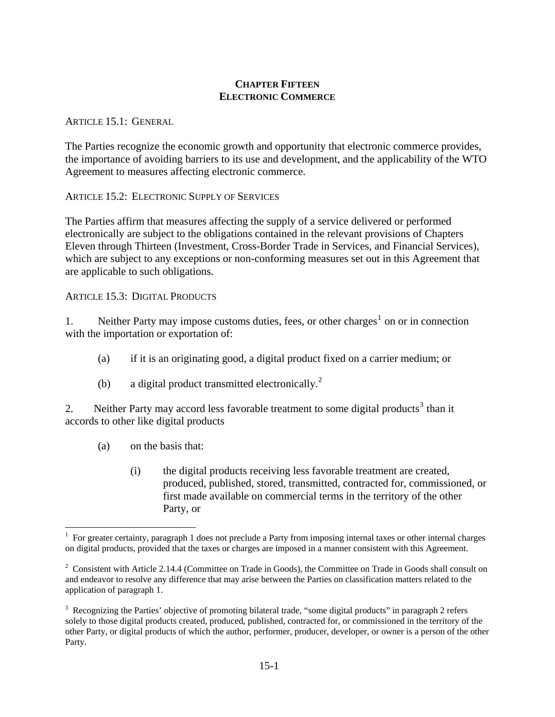## **CHAPTER FIFTEEN ELECTRONIC COMMERCE**

## ARTICLE 15.1: GENERAL

The Parties recognize the economic growth and opportunity that electronic commerce provides, the importance of avoiding barriers to its use and development, and the applicability of the WTO Agreement to measures affecting electronic commerce.

ARTICLE 15.2: ELECTRONIC SUPPLY OF SERVICES

The Parties affirm that measures affecting the supply of a service delivered or performed electronically are subject to the obligations contained in the relevant provisions of Chapters Eleven through Thirteen (Investment, Cross-Border Trade in Services, and Financial Services), which are subject to any exceptions or non-conforming measures set out in this Agreement that are applicable to such obligations.

ARTICLE 15.3: DIGITAL PRODUCTS

[1](#page-0-0). Neither Party may impose customs duties, fees, or other charges<sup>1</sup> on or in connection with the importation or exportation of:

- (a) if it is an originating good, a digital product fixed on a carrier medium; or
- (b) a digital product transmitted electronically.<sup>[2](#page-0-1)</sup>

2. Neither Party may accord less favorable treatment to some digital products<sup>[3](#page-0-2)</sup> than it accords to other like digital products

(a) on the basis that:

 $\overline{a}$ 

 (i) the digital products receiving less favorable treatment are created, produced, published, stored, transmitted, contracted for, commissioned, or first made available on commercial terms in the territory of the other Party, or

<span id="page-0-0"></span><sup>&</sup>lt;sup>1</sup> For greater certainty, paragraph 1 does not preclude a Party from imposing internal taxes or other internal charges on digital products, provided that the taxes or charges are imposed in a manner consistent with this Agreement.

<span id="page-0-1"></span><sup>&</sup>lt;sup>2</sup> Consistent with Article 2.14.4 (Committee on Trade in Goods), the Committee on Trade in Goods shall consult on and endeavor to resolve any difference that may arise between the Parties on classification matters related to the application of paragraph 1.

<span id="page-0-2"></span> $3$  Recognizing the Parties' objective of promoting bilateral trade, "some digital products" in paragraph 2 refers solely to those digital products created, produced, published, contracted for, or commissioned in the territory of the other Party, or digital products of which the author, performer, producer, developer, or owner is a person of the other Party.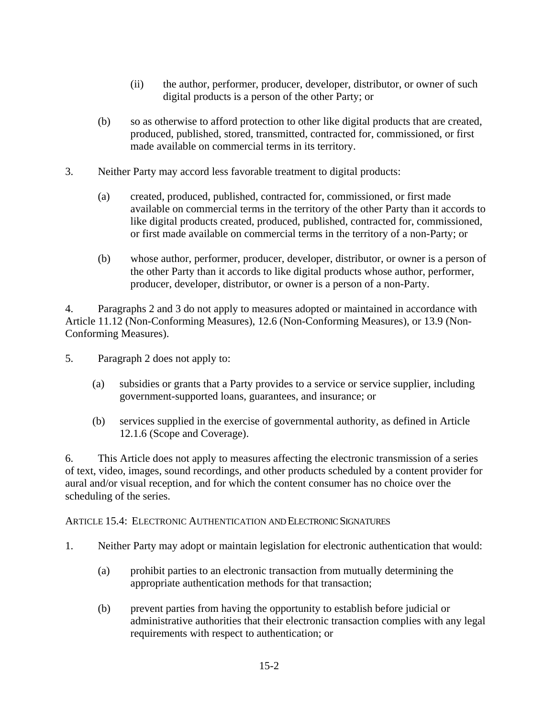- (ii) the author, performer, producer, developer, distributor, or owner of such digital products is a person of the other Party; or
- (b) so as otherwise to afford protection to other like digital products that are created, produced, published, stored, transmitted, contracted for, commissioned, or first made available on commercial terms in its territory.
- 3. Neither Party may accord less favorable treatment to digital products:
	- (a) created, produced, published, contracted for, commissioned, or first made available on commercial terms in the territory of the other Party than it accords to like digital products created, produced, published, contracted for, commissioned, or first made available on commercial terms in the territory of a non-Party; or
	- (b) whose author, performer, producer, developer, distributor, or owner is a person of the other Party than it accords to like digital products whose author, performer, producer, developer, distributor, or owner is a person of a non-Party.

4. Paragraphs 2 and 3 do not apply to measures adopted or maintained in accordance with Article 11.12 (Non-Conforming Measures), 12.6 (Non-Conforming Measures), or 13.9 (Non-Conforming Measures).

- 5. Paragraph 2 does not apply to:
	- (a) subsidies or grants that a Party provides to a service or service supplier, including government-supported loans, guarantees, and insurance; or
	- (b) services supplied in the exercise of governmental authority, as defined in Article 12.1.6 (Scope and Coverage).

6. This Article does not apply to measures affecting the electronic transmission of a series of text, video, images, sound recordings, and other products scheduled by a content provider for aural and/or visual reception, and for which the content consumer has no choice over the scheduling of the series.

## ARTICLE 15.4: ELECTRONIC AUTHENTICATION AND ELECTRONIC SIGNATURES

- 1. Neither Party may adopt or maintain legislation for electronic authentication that would:
	- (a) prohibit parties to an electronic transaction from mutually determining the appropriate authentication methods for that transaction;
	- (b) prevent parties from having the opportunity to establish before judicial or administrative authorities that their electronic transaction complies with any legal requirements with respect to authentication; or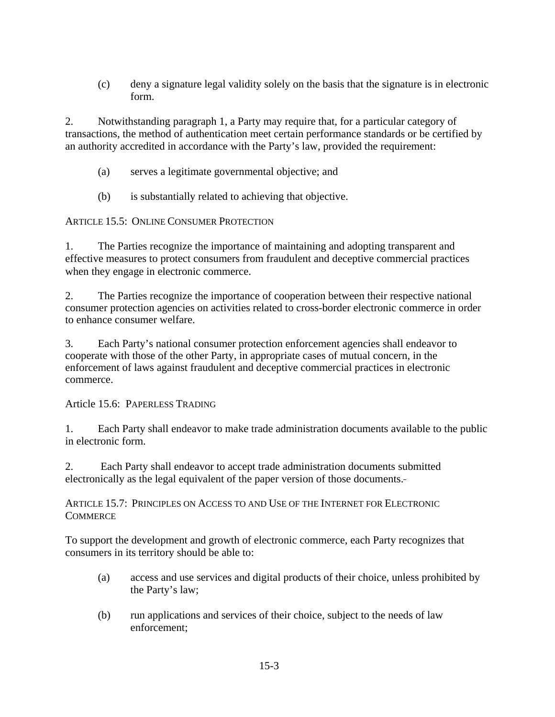(c) deny a signature legal validity solely on the basis that the signature is in electronic form.

2. Notwithstanding paragraph 1, a Party may require that, for a particular category of transactions, the method of authentication meet certain performance standards or be certified by an authority accredited in accordance with the Party's law, provided the requirement:

- (a) serves a legitimate governmental objective; and
- (b) is substantially related to achieving that objective.

ARTICLE 15.5: ONLINE CONSUMER PROTECTION

1. The Parties recognize the importance of maintaining and adopting transparent and effective measures to protect consumers from fraudulent and deceptive commercial practices when they engage in electronic commerce.

2. The Parties recognize the importance of cooperation between their respective national consumer protection agencies on activities related to cross-border electronic commerce in order to enhance consumer welfare.

3. Each Party's national consumer protection enforcement agencies shall endeavor to cooperate with those of the other Party, in appropriate cases of mutual concern, in the enforcement of laws against fraudulent and deceptive commercial practices in electronic commerce.

Article 15.6: PAPERLESS TRADING

1. Each Party shall endeavor to make trade administration documents available to the public in electronic form.

2. Each Party shall endeavor to accept trade administration documents submitted electronically as the legal equivalent of the paper version of those documents.

ARTICLE 15.7: PRINCIPLES ON ACCESS TO AND USE OF THE INTERNET FOR ELECTRONIC **COMMERCE** 

To support the development and growth of electronic commerce, each Party recognizes that consumers in its territory should be able to:

- (a) access and use services and digital products of their choice, unless prohibited by the Party's law;
- (b) run applications and services of their choice, subject to the needs of law enforcement;